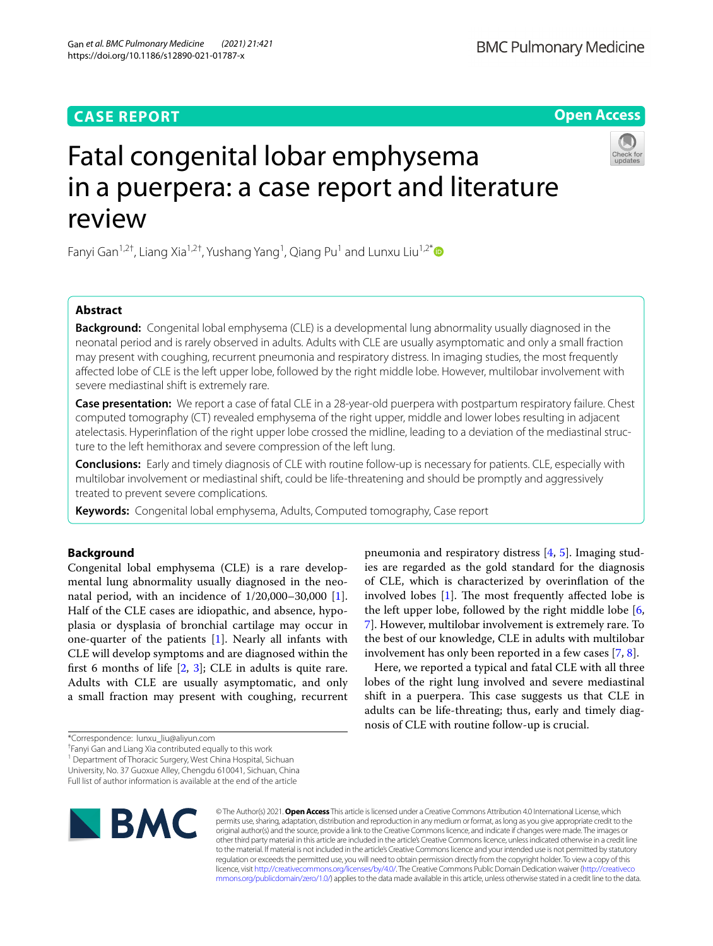# **CASE REPORT**

**Open Access**

# Fatal congenital lobar emphysema in a puerpera: a case report and literature review

Fanyi Gan<sup>1,2†</sup>, Liang Xia<sup>1,2†</sup>, Yushang Yang<sup>1</sup>, Qiang Pu<sup>1</sup> and Lunxu Liu<sup>1,2[\\*](http://orcid.org/0000-0003-3964-5378)</sup>

# **Abstract**

**Background:** Congenital lobal emphysema (CLE) is a developmental lung abnormality usually diagnosed in the neonatal period and is rarely observed in adults. Adults with CLE are usually asymptomatic and only a small fraction may present with coughing, recurrent pneumonia and respiratory distress. In imaging studies, the most frequently afected lobe of CLE is the left upper lobe, followed by the right middle lobe. However, multilobar involvement with severe mediastinal shift is extremely rare.

**Case presentation:** We report a case of fatal CLE in a 28-year-old puerpera with postpartum respiratory failure. Chest computed tomography (CT) revealed emphysema of the right upper, middle and lower lobes resulting in adjacent atelectasis. Hyperinfation of the right upper lobe crossed the midline, leading to a deviation of the mediastinal structure to the left hemithorax and severe compression of the left lung.

**Conclusions:** Early and timely diagnosis of CLE with routine follow-up is necessary for patients. CLE, especially with multilobar involvement or mediastinal shift, could be life-threatening and should be promptly and aggressively treated to prevent severe complications.

**Keywords:** Congenital lobal emphysema, Adults, Computed tomography, Case report

# **Background**

Congenital lobal emphysema (CLE) is a rare developmental lung abnormality usually diagnosed in the neonatal period, with an incidence of  $1/20,000-30,000$  [\[1](#page-3-0)]. Half of the CLE cases are idiopathic, and absence, hypoplasia or dysplasia of bronchial cartilage may occur in one-quarter of the patients  $[1]$  $[1]$ . Nearly all infants with CLE will develop symptoms and are diagnosed within the first 6 months of life  $[2, 3]$  $[2, 3]$  $[2, 3]$  $[2, 3]$ ; CLE in adults is quite rare. Adults with CLE are usually asymptomatic, and only a small fraction may present with coughing, recurrent

<sup>1</sup> Department of Thoracic Surgery, West China Hospital, Sichuan

University, No. 37 Guoxue Alley, Chengdu 610041, Sichuan, China

Full list of author information is available at the end of the article



© The Author(s) 2021. **Open Access** This article is licensed under a Creative Commons Attribution 4.0 International License, which permits use, sharing, adaptation, distribution and reproduction in any medium or format, as long as you give appropriate credit to the original author(s) and the source, provide a link to the Creative Commons licence, and indicate if changes were made. The images or other third party material in this article are included in the article's Creative Commons licence, unless indicated otherwise in a credit line to the material. If material is not included in the article's Creative Commons licence and your intended use is not permitted by statutory regulation or exceeds the permitted use, you will need to obtain permission directly from the copyright holder. To view a copy of this licence, visit [http://creativecommons.org/licenses/by/4.0/.](http://creativecommons.org/licenses/by/4.0/) The Creative Commons Public Domain Dedication waiver ([http://creativeco](http://creativecommons.org/publicdomain/zero/1.0/) [mmons.org/publicdomain/zero/1.0/](http://creativecommons.org/publicdomain/zero/1.0/)) applies to the data made available in this article, unless otherwise stated in a credit line to the data.

pneumonia and respiratory distress [\[4](#page-3-3), [5](#page-3-4)]. Imaging studies are regarded as the gold standard for the diagnosis of CLE, which is characterized by overinfation of the involved lobes  $[1]$  $[1]$ . The most frequently affected lobe is the left upper lobe, followed by the right middle lobe [\[6](#page-3-5), [7\]](#page-3-6). However, multilobar involvement is extremely rare. To the best of our knowledge, CLE in adults with multilobar involvement has only been reported in a few cases [\[7](#page-3-6), [8\]](#page-3-7). Here, we reported a typical and fatal CLE with all three lobes of the right lung involved and severe mediastinal shift in a puerpera. This case suggests us that CLE in adults can be life-threating; thus, early and timely diag-

nosis of CLE with routine follow-up is crucial.



<sup>\*</sup>Correspondence: lunxu\_liu@aliyun.com

<sup>†</sup> Fanyi Gan and Liang Xia contributed equally to this work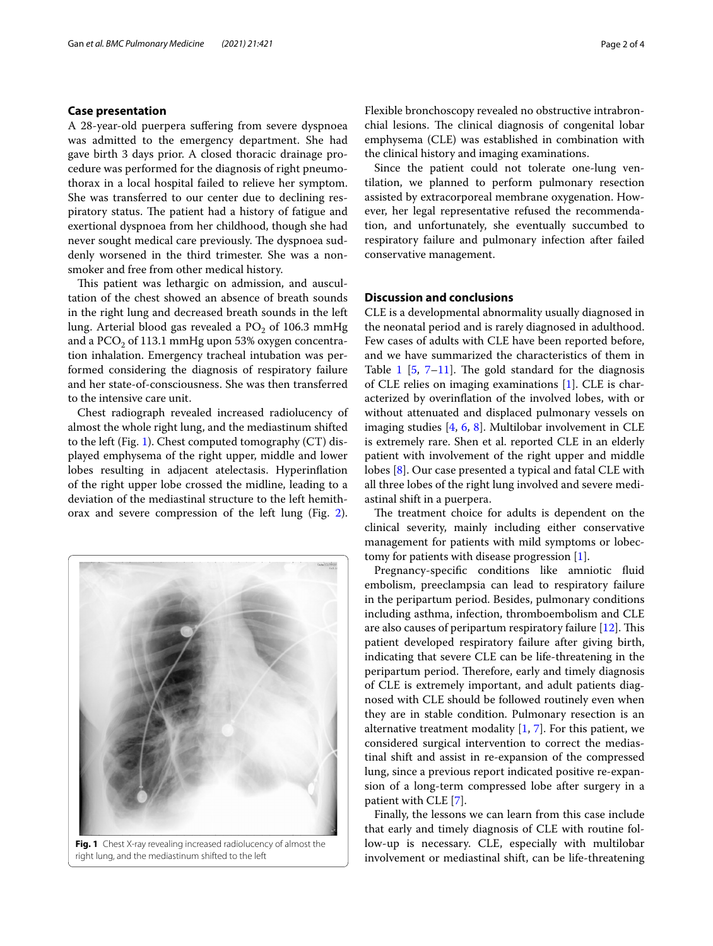# **Case presentation**

A 28-year-old puerpera sufering from severe dyspnoea was admitted to the emergency department. She had gave birth 3 days prior. A closed thoracic drainage procedure was performed for the diagnosis of right pneumothorax in a local hospital failed to relieve her symptom. She was transferred to our center due to declining respiratory status. The patient had a history of fatigue and exertional dyspnoea from her childhood, though she had never sought medical care previously. The dyspnoea suddenly worsened in the third trimester. She was a nonsmoker and free from other medical history.

This patient was lethargic on admission, and auscultation of the chest showed an absence of breath sounds in the right lung and decreased breath sounds in the left lung. Arterial blood gas revealed a  $PO<sub>2</sub>$  of 106.3 mmHg and a  $PCO<sub>2</sub>$  of 113.1 mmHg upon 53% oxygen concentration inhalation. Emergency tracheal intubation was performed considering the diagnosis of respiratory failure and her state-of-consciousness. She was then transferred to the intensive care unit.

Chest radiograph revealed increased radiolucency of almost the whole right lung, and the mediastinum shifted to the left (Fig. [1](#page-1-0)). Chest computed tomography (CT) displayed emphysema of the right upper, middle and lower lobes resulting in adjacent atelectasis. Hyperinfation of the right upper lobe crossed the midline, leading to a deviation of the mediastinal structure to the left hemithorax and severe compression of the left lung (Fig. [2](#page-2-0)).



Flexible bronchoscopy revealed no obstructive intrabronchial lesions. The clinical diagnosis of congenital lobar emphysema (CLE) was established in combination with the clinical history and imaging examinations.

Since the patient could not tolerate one-lung ventilation, we planned to perform pulmonary resection assisted by extracorporeal membrane oxygenation. However, her legal representative refused the recommendation, and unfortunately, she eventually succumbed to respiratory failure and pulmonary infection after failed conservative management.

# **Discussion and conclusions**

CLE is a developmental abnormality usually diagnosed in the neonatal period and is rarely diagnosed in adulthood. Few cases of adults with CLE have been reported before, and we have summarized the characteristics of them in Table [1](#page-2-1)  $[5, 7-11]$  $[5, 7-11]$  $[5, 7-11]$  $[5, 7-11]$ . The gold standard for the diagnosis of CLE relies on imaging examinations [[1\]](#page-3-0). CLE is characterized by overinfation of the involved lobes, with or without attenuated and displaced pulmonary vessels on imaging studies [\[4](#page-3-3), [6](#page-3-5), [8\]](#page-3-7). Multilobar involvement in CLE is extremely rare. Shen et al. reported CLE in an elderly patient with involvement of the right upper and middle lobes [[8](#page-3-7)]. Our case presented a typical and fatal CLE with all three lobes of the right lung involved and severe mediastinal shift in a puerpera.

The treatment choice for adults is dependent on the clinical severity, mainly including either conservative management for patients with mild symptoms or lobectomy for patients with disease progression [[1](#page-3-0)].

Pregnancy-specific conditions like amniotic fluid embolism, preeclampsia can lead to respiratory failure in the peripartum period. Besides, pulmonary conditions including asthma, infection, thromboembolism and CLE are also causes of peripartum respiratory failure  $[12]$  $[12]$ . This patient developed respiratory failure after giving birth, indicating that severe CLE can be life-threatening in the peripartum period. Therefore, early and timely diagnosis of CLE is extremely important, and adult patients diagnosed with CLE should be followed routinely even when they are in stable condition. Pulmonary resection is an alternative treatment modality  $[1, 7]$  $[1, 7]$  $[1, 7]$ . For this patient, we considered surgical intervention to correct the mediastinal shift and assist in re-expansion of the compressed lung, since a previous report indicated positive re-expansion of a long-term compressed lobe after surgery in a patient with CLE [[7\]](#page-3-6).

<span id="page-1-0"></span>Finally, the lessons we can learn from this case include that early and timely diagnosis of CLE with routine follow-up is necessary. CLE, especially with multilobar involvement or mediastinal shift, can be life-threatening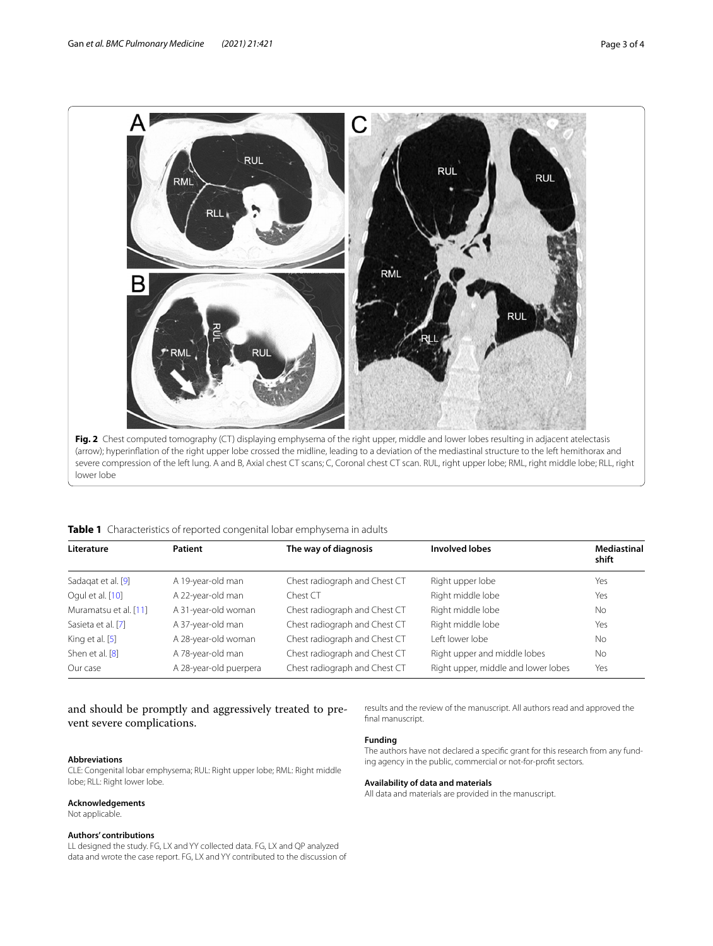

<span id="page-2-1"></span><span id="page-2-0"></span>**Table 1** Characteristics of reported congenital lobar emphysema in adults

| Literature            | Patient                | The way of diagnosis          | <b>Involved lobes</b>               | <b>Mediastinal</b><br>shift |
|-----------------------|------------------------|-------------------------------|-------------------------------------|-----------------------------|
| Sadagat et al. [9]    | A 19-year-old man      | Chest radiograph and Chest CT | Right upper lobe                    | Yes                         |
| Oqul et al. [10]      | A 22-year-old man      | Chest CT                      | Right middle lobe                   | Yes                         |
| Muramatsu et al. [11] | A 31-year-old woman    | Chest radiograph and Chest CT | Right middle lobe                   | <b>No</b>                   |
| Sasieta et al. [7]    | A 37-year-old man      | Chest radiograph and Chest CT | Right middle lobe                   | Yes                         |
| King et al. [5]       | A 28-year-old woman    | Chest radiograph and Chest CT | I eft lower lobe                    | <b>No</b>                   |
| Shen et al. [8]       | A 78-year-old man      | Chest radiograph and Chest CT | Right upper and middle lobes        | No                          |
| Our case              | A 28-year-old puerpera | Chest radiograph and Chest CT | Right upper, middle and lower lobes | Yes                         |

and should be promptly and aggressively treated to prevent severe complications.

### **Abbreviations**

CLE: Congenital lobar emphysema; RUL: Right upper lobe; RML: Right middle lobe; RLL: Right lower lobe.

### **Acknowledgements**

Not applicable.

# **Authors' contributions**

LL designed the study. FG, LX and YY collected data. FG, LX and QP analyzed data and wrote the case report. FG, LX and YY contributed to the discussion of results and the review of the manuscript. All authors read and approved the final manuscript.

## **Funding**

The authors have not declared a specifc grant for this research from any funding agency in the public, commercial or not-for-proft sectors.

# **Availability of data and materials**

All data and materials are provided in the manuscript.